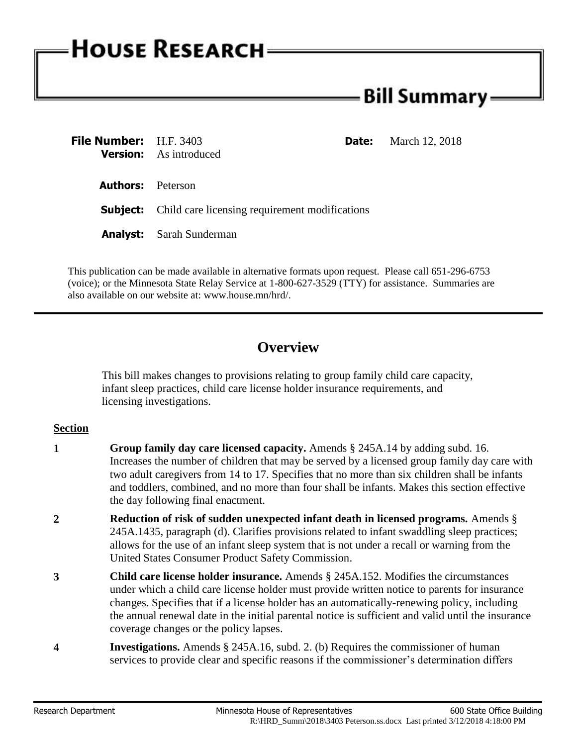# **HOUSE RESEARCH**

# - Bill Summary <del>.</del>

| <b>File Number:</b> H.F. 3403 | <b>Date:</b><br><b>Version:</b> As introduced                  | March 12, 2018 |
|-------------------------------|----------------------------------------------------------------|----------------|
| <b>Authors:</b> Peterson      |                                                                |                |
|                               | <b>Subject:</b> Child care licensing requirement modifications |                |
|                               | <b>Analyst:</b> Sarah Sunderman                                |                |

This publication can be made available in alternative formats upon request. Please call 651-296-6753 (voice); or the Minnesota State Relay Service at 1-800-627-3529 (TTY) for assistance. Summaries are also available on our website at: www.house.mn/hrd/.

## **Overview**

This bill makes changes to provisions relating to group family child care capacity, infant sleep practices, child care license holder insurance requirements, and licensing investigations.

### **Section**

- **1 Group family day care licensed capacity.** Amends § 245A.14 by adding subd. 16. Increases the number of children that may be served by a licensed group family day care with two adult caregivers from 14 to 17. Specifies that no more than six children shall be infants and toddlers, combined, and no more than four shall be infants. Makes this section effective the day following final enactment.
- **2 Reduction of risk of sudden unexpected infant death in licensed programs.** Amends § 245A.1435, paragraph (d). Clarifies provisions related to infant swaddling sleep practices; allows for the use of an infant sleep system that is not under a recall or warning from the United States Consumer Product Safety Commission.
- **3 Child care license holder insurance.** Amends § 245A.152. Modifies the circumstances under which a child care license holder must provide written notice to parents for insurance changes. Specifies that if a license holder has an automatically-renewing policy, including the annual renewal date in the initial parental notice is sufficient and valid until the insurance coverage changes or the policy lapses.
- **4 Investigations.** Amends § 245A.16, subd. 2. (b) Requires the commissioner of human services to provide clear and specific reasons if the commissioner's determination differs